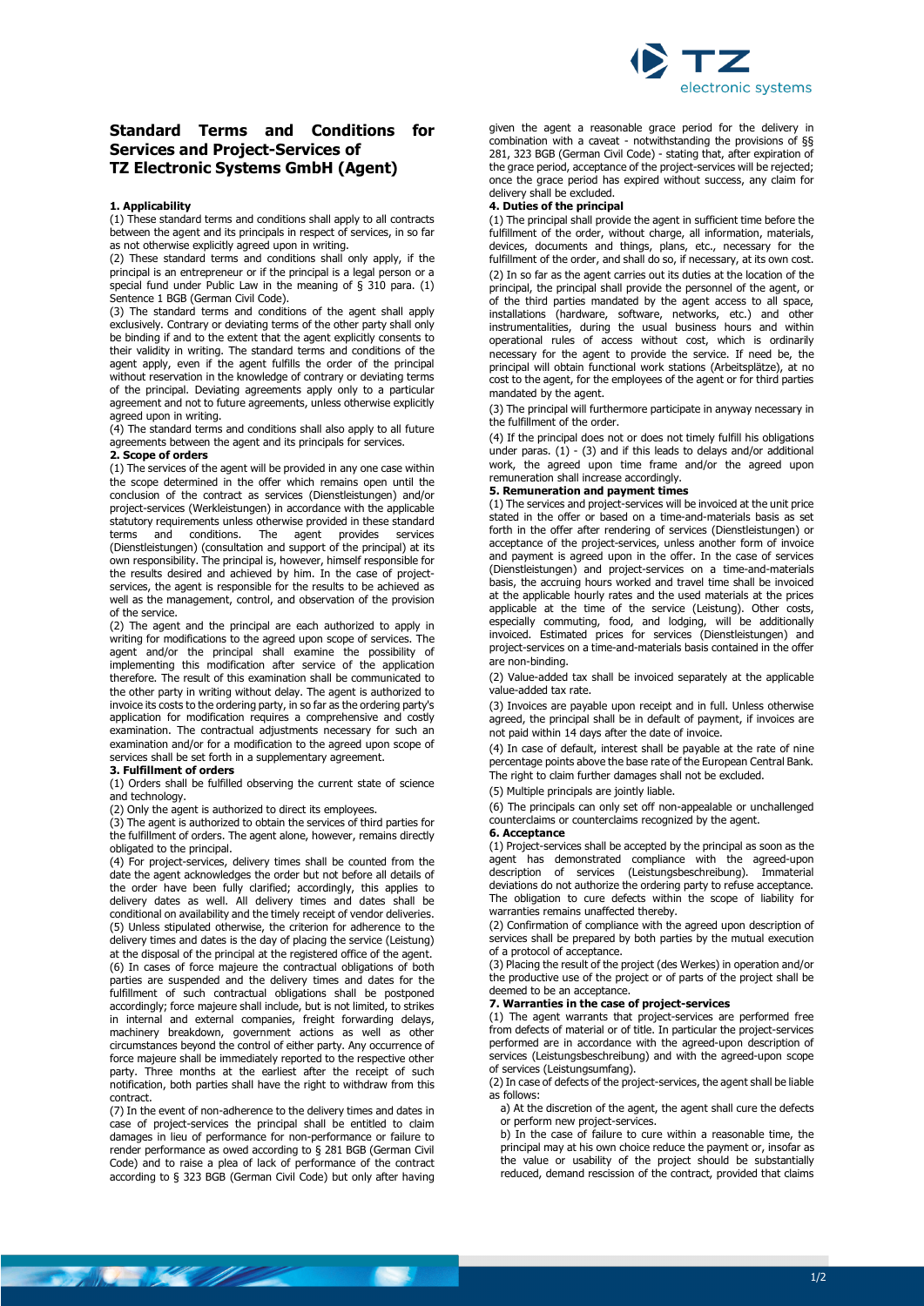

# **Standard Terms and Conditions for Services and Project-Services of TZ Electronic Systems GmbH (Agent)**

#### **1. Applicability**

(1) These standard terms and conditions shall apply to all contracts between the agent and its principals in respect of services, in so far as not otherwise explicitly agreed upon in writing.

(2) These standard terms and conditions shall only apply, if the principal is an entrepreneur or if the principal is a legal person or a special fund under Public Law in the meaning of § 310 para. (1) Sentence 1 BGB (German Civil Code).

(3) The standard terms and conditions of the agent shall apply exclusively. Contrary or deviating terms of the other party shall only be binding if and to the extent that the agent explicitly consents to their validity in writing. The standard terms and conditions of the agent apply, even if the agent fulfills the order of the principal without reservation in the knowledge of contrary or deviating terms of the principal. Deviating agreements apply only to a particular agreement and not to future agreements, unless otherwise explicitly agreed upon in writing.

(4) The standard terms and conditions shall also apply to all future agreements between the agent and its principals for services.

#### **2. Scope of orders**

(1) The services of the agent will be provided in any one case within the scope determined in the offer which remains open until the conclusion of the contract as services (Dienstleistungen) and/or project-services (Werkleistungen) in accordance with the applicable statutory requirements unless otherwise provided in these standard<br>terms and conditions. The agent provides services  $i$  and conditions. The agent provides services (Dienstleistungen) (consultation and support of the principal) at its own responsibility. The principal is, however, himself responsible for the results desired and achieved by him. In the case of projectservices, the agent is responsible for the results to be achieved as well as the management, control, and observation of the provision of the service.

(2) The agent and the principal are each authorized to apply in writing for modifications to the agreed upon scope of services. The agent and/or the principal shall examine the possibility of implementing this modification after service of the application therefore. The result of this examination shall be communicated to the other party in writing without delay. The agent is authorized to invoice its costs to the ordering party, in so far as the ordering party's application for modification requires a comprehensive and costly examination. The contractual adjustments necessary for such an examination and/or for a modification to the agreed upon scope of services shall be set forth in a supplementary agreement.

#### **3. Fulfillment of orders**

**The Miller Commence of the Commence of the Commence of the Commence of the Commence of the Commence of the Commence of the Commence of the Commence of the Commence of the Commence of the Commence of the Commence of the Co** 

(1) Orders shall be fulfilled observing the current state of science and technology.

(2) Only the agent is authorized to direct its employees.

(3) The agent is authorized to obtain the services of third parties for the fulfillment of orders. The agent alone, however, remains directly obligated to the principal.

(4) For project-services, delivery times shall be counted from the date the agent acknowledges the order but not before all details of the order have been fully clarified; accordingly, this applies to delivery dates as well. All delivery times and dates shall be conditional on availability and the timely receipt of vendor deliveries. (5) Unless stipulated otherwise, the criterion for adherence to the delivery times and dates is the day of placing the service (Leistung) at the disposal of the principal at the registered office of the agent. (6) In cases of force majeure the contractual obligations of both parties are suspended and the delivery times and dates for the fulfillment of such contractual obligations shall be postponed accordingly; force majeure shall include, but is not limited, to strikes in internal and external companies, freight forwarding delays, machinery breakdown, government actions as well as other circumstances beyond the control of either party. Any occurrence of force majeure shall be immediately reported to the respective other party. Three months at the earliest after the receipt of such notification, both parties shall have the right to withdraw from this contract.

(7) In the event of non-adherence to the delivery times and dates in case of project-services the principal shall be entitled to claim damages in lieu of performance for non-performance or failure to render performance as owed according to § 281 BGB (German Civil Code) and to raise a plea of lack of performance of the contract according to § 323 BGB (German Civil Code) but only after having given the agent a reasonable grace period for the delivery in combination with a caveat - notwithstanding the provisions of §§ 281, 323 BGB (German Civil Code) - stating that, after expiration of the grace period, acceptance of the project-services will be rejected; once the grace period has expired without success, any claim for delivery shall be excluded.

#### **4. Duties of the principal**

(1) The principal shall provide the agent in sufficient time before the fulfillment of the order, without charge, all information, materials, devices, documents and things, plans, etc., necessary for the fulfillment of the order, and shall do so, if necessary, at its own cost. (2) In so far as the agent carries out its duties at the location of the principal, the principal shall provide the personnel of the agent, or of the third parties mandated by the agent access to all space, installations (hardware, software, networks, etc.) and other instrumentalities, during the usual business hours and within operational rules of access without cost, which is ordinarily necessary for the agent to provide the service. If need be, the principal will obtain functional work stations (Arbeitsplätze), at no cost to the agent, for the employees of the agent or for third parties mandated by the agent.

(3) The principal will furthermore participate in anyway necessary in the fulfillment of the order.

(4) If the principal does not or does not timely fulfill his obligations under paras.  $(1)$  -  $(3)$  and if this leads to delays and/or additional work, the agreed upon time frame and/or the agreed upon remuneration shall increase accordingly.

#### **5. Remuneration and payment times**

(1) The services and project-services will be invoiced at the unit price stated in the offer or based on a time-and-materials basis as set forth in the offer after rendering of services (Dienstleistungen) or acceptance of the project-services, unless another form of invoice and payment is agreed upon in the offer. In the case of services (Dienstleistungen) and project-services on a time-and-materials basis, the accruing hours worked and travel time shall be invoiced at the applicable hourly rates and the used materials at the prices applicable at the time of the service (Leistung). Other costs, especially commuting, food, and lodging, will be additionally invoiced. Estimated prices for services (Dienstleistungen) and project-services on a time-and-materials basis contained in the offer are non-binding.

(2) Value-added tax shall be invoiced separately at the applicable value-added tax rate.

(3) Invoices are payable upon receipt and in full. Unless otherwise agreed, the principal shall be in default of payment, if invoices are not paid within 14 days after the date of invoice.

(4) In case of default, interest shall be payable at the rate of nine percentage points above the base rate of the European Central Bank. The right to claim further damages shall not be excluded.

(5) Multiple principals are jointly liable.

(6) The principals can only set off non-appealable or unchallenged counterclaims or counterclaims recognized by the agent.

#### **6. Acceptance**

(1) Project-services shall be accepted by the principal as soon as the agent has demonstrated compliance with the agreed-upon description of services (Leistungsbeschreibung). Immaterial deviations do not authorize the ordering party to refuse acceptance. The obligation to cure defects within the scope of liability for warranties remains unaffected thereby.

(2) Confirmation of compliance with the agreed upon description of services shall be prepared by both parties by the mutual execution of a protocol of acceptance.

(3) Placing the result of the project (des Werkes) in operation and/or the productive use of the project or of parts of the project shall be deemed to be an acceptance.

#### **7. Warranties in the case of project-services**

(1) The agent warrants that project-services are performed free from defects of material or of title. In particular the project-services performed are in accordance with the agreed-upon description of services (Leistungsbeschreibung) and with the agreed-upon scope of services (Leistungsumfang).

(2) In case of defects of the project-services, the agent shall be liable as follows:

a) At the discretion of the agent, the agent shall cure the defects or perform new project-services.

b) In the case of failure to cure within a reasonable time, the principal may at his own choice reduce the payment or, insofar as the value or usability of the project should be substantially reduced, demand rescission of the contract, provided that claims